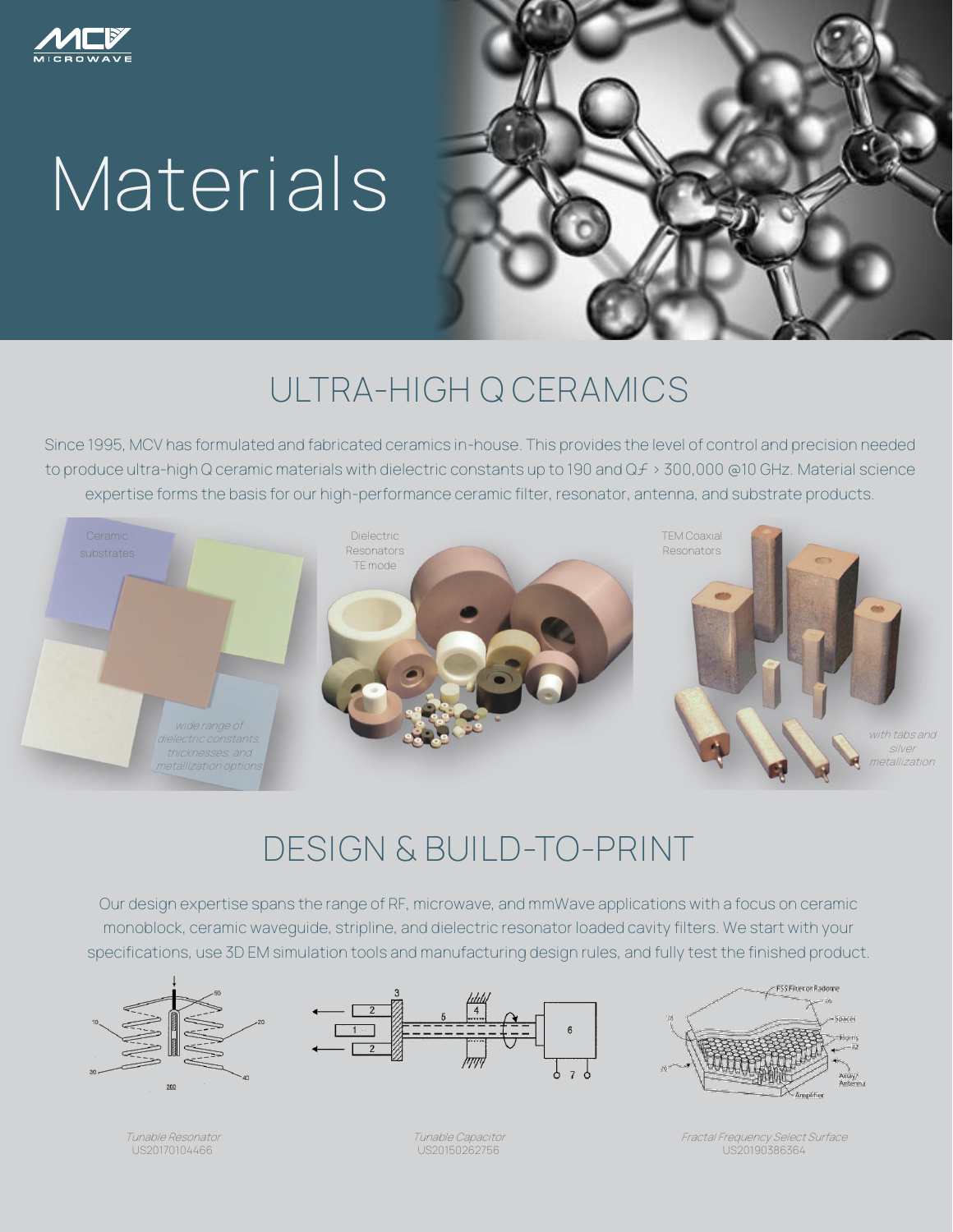

## **Materials**



## **ULTRA-HIGH Q CERAMICS**

Since 1995, MCV has formulated and fabricated ceramics in-house. This provides the level of control and precision needed to produce ultra-high Q ceramic materials with dielectric constants up to 190 and Qf > 300,000 @10 GHz. Material science expertise forms the basis for our high-performance ceramic filter, resonator, antenna, and substrate products.



## **DESIGN & BUILD-TO-PRINT**

Our design expertise spans the range of RF, microwave, and mmWave applications with a focus on ceramic monoblock, ceramic waveguide, stripline, and dielectric resonator loaded cavity filters. We start with your specifications, use 3D EM simulation tools and manufacturing design rules, and fully test the finished product.







Tunable Resonator US20170104466

Tunable Capacitor US20150262756

Fractal Frequency Select Surface US20190386364